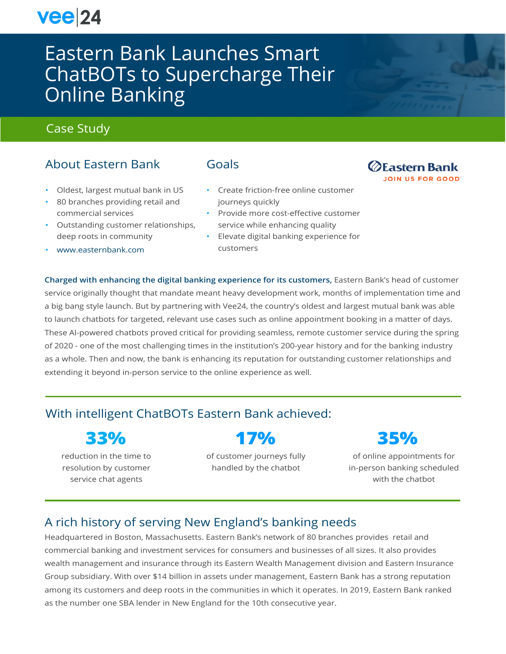# $vee|24$

# Eastern Bank Launches Smart ChatBOTs to Supercharge Their Online Banking

# Case Study

# About Eastern Bank

- Oldest, largest mutual bank in US
- 80 branches providing retail and commercial services
- Outstanding customer relationships, deep roots in community
- [www.easternbank.com](http://www.easternbank.com/)

### Goals

- Create friction-free online customer journeys quickly
- Provide more cost-effective customer service while enhancing quality
- Elevate digital banking experience for customers

**Charged with enhancing the digital banking experience for its customers,** Eastern Bank's head of customer service originally thought that mandate meant heavy development work, months of implementation time and a big bang style launch. But by partnering with Vee24, the country's oldest and largest mutual bank was able to launch chatbots for targeted, relevant use cases such as online appointment booking in a matter of days. These AI-powered chatbots proved critical for providing seamless, remote customer service during the spring of 2020 - one of the most challenging times in the institution's 200-year history and for the banking industry as a whole. Then and now, the bank is enhancing its reputation for outstanding customer relationships and extending it beyond in-person service to the online experience as well.

# With intelligent ChatBOTs Eastern Bank achieved:

# **33%**

reduction in the time to resolution by customer service chat agents

**17%**

of customer journeys fully handled by the chatbot



of online appointments for in-person banking scheduled with the chatbot

# A rich history of serving New England's banking needs

Headquartered in Boston, Massachusetts. Eastern Bank's network of 80 branches provides retail and commercial banking and investment services for consumers and businesses of all sizes. It also provides wealth management and insurance through its Eastern Wealth Management division and Eastern Insurance Group subsidiary. With over \$14 billion in assets under management, Eastern Bank has a strong reputation among its customers and deep roots in the communities in which it operates. In 2019, Eastern Bank ranked as the number one SBA lender in New England for the 10th consecutive year.

#### *<u>@Eastern Bank</u>* **JOIN US FOR GOOD**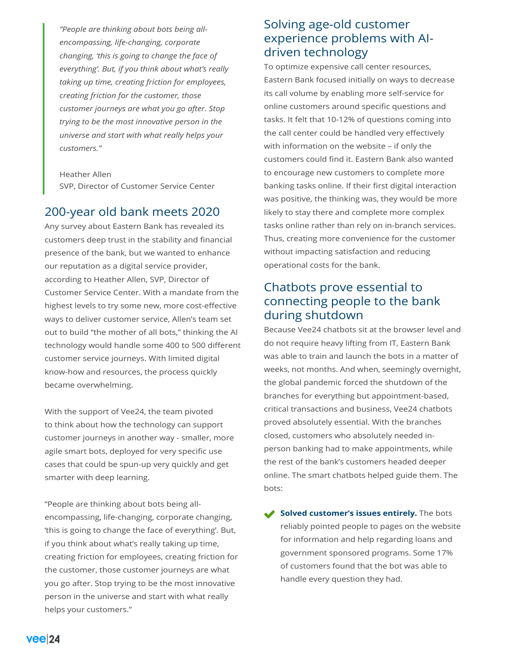*"People are thinking about bots being allencompassing, life-changing, corporate changing, 'this is going to change the face of everything'. But, if you think about what's really taking up time, creating friction for employees, creating friction for the customer, those customer journeys are what you go after. Stop trying to be the most innovative person in the universe and start with what really helps your customers."*

Heather Allen SVP, Director of Customer Service Center

### 200-year old bank meets 2020

Any survey about Eastern Bank has revealed its customers deep trust in the stability and financial presence of the bank, but we wanted to enhance our reputation as a digital service provider, according to Heather Allen, SVP, Director of Customer Service Center. With a mandate from the highest levels to try some new, more cost-effective ways to deliver customer service, Allen's team set out to build "the mother of all bots," thinking the AI technology would handle some 400 to 500 different customer service journeys. With limited digital know-how and resources, the process quickly became overwhelming.

With the support of Vee24, the team pivoted to think about how the technology can support customer journeys in another way - smaller, more agile smart bots, deployed for very specific use cases that could be spun-up very quickly and get smarter with deep learning.

"People are thinking about bots being allencompassing, life-changing, corporate changing, 'this is going to change the face of everything'. But, if you think about what's really taking up time, creating friction for employees, creating friction for the customer, those customer journeys are what you go after. Stop trying to be the most innovative person in the universe and start with what really helps your customers."

## Solving age-old customer experience problems with AIdriven technology

To optimize expensive call center resources, Eastern Bank focused initially on ways to decrease its call volume by enabling more self-service for online customers around specific questions and tasks. It felt that 10-12% of questions coming into the call center could be handled very effectively with information on the website – if only the customers could find it. Eastern Bank also wanted to encourage new customers to complete more banking tasks online. If their first digital interaction was positive, the thinking was, they would be more likely to stay there and complete more complex tasks online rather than rely on in-branch services. Thus, creating more convenience for the customer without impacting satisfaction and reducing operational costs for the bank.

## Chatbots prove essential to connecting people to the bank during shutdown

Because Vee24 chatbots sit at the browser level and do not require heavy lifting from IT, Eastern Bank was able to train and launch the bots in a matter of weeks, not months. And when, seemingly overnight, the global pandemic forced the shutdown of the branches for everything but appointment-based, critical transactions and business, Vee24 chatbots proved absolutely essential. With the branches closed, customers who absolutely needed inperson banking had to make appointments, while the rest of the bank's customers headed deeper online. The smart chatbots helped guide them. The bots:

Solved customer's issues entirely. The bots reliably pointed people to pages on the website for information and help regarding loans and government sponsored programs. Some 17% of customers found that the bot was able to handle every question they had.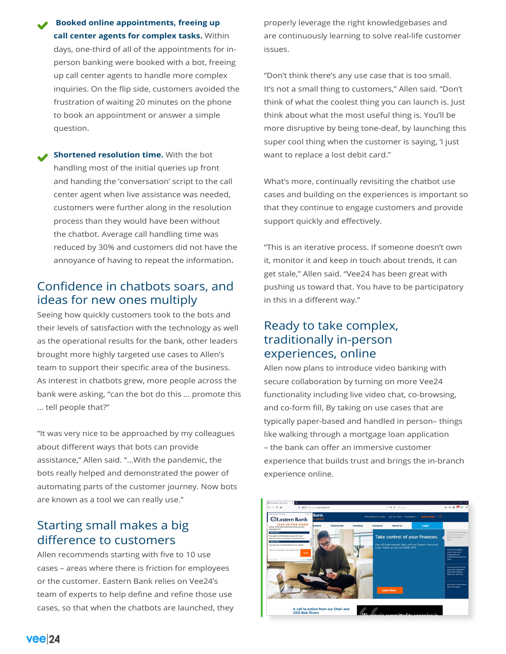**Booked online appointments, freeing up call center agents for complex tasks.** Within days, one-third of all of the appointments for inperson banking were booked with a bot, freeing up call center agents to handle more complex inquiries. On the flip side, customers avoided the frustration of waiting 20 minutes on the phone to book an appointment or answer a simple question.

**Shortened resolution time.** With the bot handling most of the initial queries up front and handing the 'conversation' script to the call center agent when live assistance was needed, customers were further along in the resolution process than they would have been without the chatbot. Average call handling time was reduced by 30% and customers did not have the annoyance of having to repeat the information.

## Confidence in chatbots soars, and ideas for new ones multiply

Seeing how quickly customers took to the bots and their levels of satisfaction with the technology as well as the operational results for the bank, other leaders brought more highly targeted use cases to Allen's team to support their specific area of the business. As interest in chatbots grew, more people across the bank were asking, "can the bot do this … promote this … tell people that?"

"It was very nice to be approached by my colleagues about different ways that bots can provide assistance," Allen said. "…With the pandemic, the bots really helped and demonstrated the power of automating parts of the customer journey. Now bots are known as a tool we can really use."

# Starting small makes a big difference to customers

Allen recommends starting with five to 10 use cases – areas where there is friction for employees or the customer. Eastern Bank relies on Vee24's team of experts to help define and refine those use cases, so that when the chatbots are launched, they properly leverage the right knowledgebases and are continuously learning to solve real-life customer issues.

"Don't think there's any use case that is too small. It's not a small thing to customers," Allen said. "Don't think of what the coolest thing you can launch is. Just think about what the most useful thing is. You'll be more disruptive by being tone-deaf, by launching this super cool thing when the customer is saying, 'I just want to replace a lost debit card."

What's more, continually revisiting the chatbot use cases and building on the experiences is important so that they continue to engage customers and provide support quickly and effectively.

"This is an iterative process. If someone doesn't own it, monitor it and keep in touch about trends, it can get stale," Allen said. "Vee24 has been great with pushing us toward that. You have to be participatory in this in a different way."

## Ready to take complex, traditionally in-person experiences, online

Allen now plans to introduce video banking with secure collaboration by turning on more Vee24 functionality including live video chat, co-browsing, and co-form fill, By taking on use cases that are typically paper-based and handled in person– things like walking through a mortgage loan application – the bank can offer an immersive customer experience that builds trust and brings the in-branch experience online.